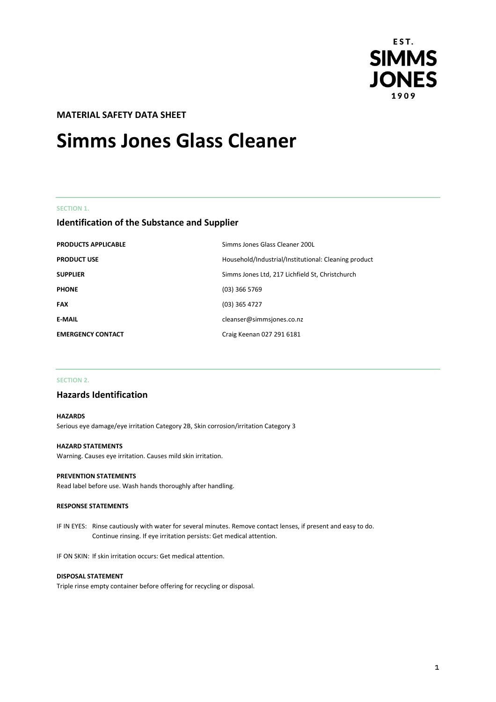

# **MATERIAL SAFETY DATA SHEET**

# **Simms Jones Glass Cleaner**

### **SECTION 1.**

# **Identification of the Substance and Supplier**

| <b>PRODUCTS APPLICABLE</b> | Simms Jones Glass Cleaner 200L                       |
|----------------------------|------------------------------------------------------|
| <b>PRODUCT USE</b>         | Household/Industrial/Institutional: Cleaning product |
| <b>SUPPLIER</b>            | Simms Jones Ltd, 217 Lichfield St, Christchurch      |
| <b>PHONE</b>               | $(03)$ 366 5769                                      |
| <b>FAX</b>                 | $(03)$ 365 4727                                      |
| <b>E-MAIL</b>              | cleanser@simmsjones.co.nz                            |
| <b>EMERGENCY CONTACT</b>   | Craig Keenan 027 291 6181                            |

### **SECTION 2.**

# **Hazards Identification**

### **HAZARDS**

Serious eye damage/eye irritation Category 2B, Skin corrosion/irritation Category 3

### **HAZARD STATEMENTS**

Warning. Causes eye irritation. Causes mild skin irritation.

### **PREVENTION STATEMENTS**

Read label before use. Wash hands thoroughly after handling.

### **RESPONSE STATEMENTS**

IF IN EYES: Rinse cautiously with water for several minutes. Remove contact lenses, if present and easy to do. Continue rinsing. If eye irritation persists: Get medical attention.

IF ON SKIN: If skin irritation occurs: Get medical attention.

### **DISPOSAL STATEMENT**

Triple rinse empty container before offering for recycling or disposal.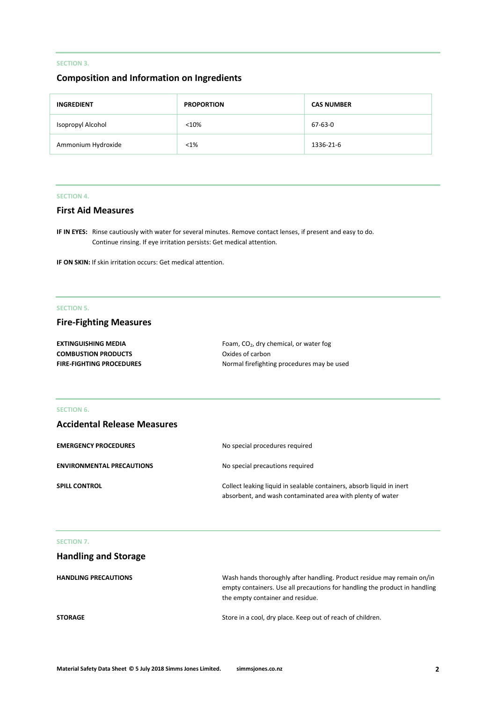# **SECTION 3.**

# **Composition and Information on Ingredients**

| <b>INGREDIENT</b>  | <b>PROPORTION</b> | <b>CAS NUMBER</b> |
|--------------------|-------------------|-------------------|
| Isopropyl Alcohol  | < 10%             | 67-63-0           |
| Ammonium Hydroxide | $< 1\%$           | 1336-21-6         |

### **SECTION 4.**

# **First Aid Measures**

**IF IN EYES:** Rinse cautiously with water for several minutes. Remove contact lenses, if present and easy to do. Continue rinsing. If eye irritation persists: Get medical attention.

**IF ON SKIN:** If skin irritation occurs: Get medical attention.

## **SECTION 5.**

# **Fire-Fighting Measures**

| <b>EXTINGUISHING MEDIA</b>      | Foam, CO <sub>2</sub> , dry chemical, or water fog |
|---------------------------------|----------------------------------------------------|
| <b>COMBUSTION PRODUCTS</b>      | Oxides of carbon                                   |
| <b>FIRE-FIGHTING PROCEDURES</b> | Normal firefighting procedures may be used         |

### **SECTION 6.**

# **Accidental Release Measures**

| <b>EMERGENCY PROCEDURES</b>      | No special procedures required                                                                                                      |
|----------------------------------|-------------------------------------------------------------------------------------------------------------------------------------|
| <b>ENVIRONMENTAL PRECAUTIONS</b> | No special precautions required                                                                                                     |
| <b>SPILL CONTROL</b>             | Collect leaking liquid in sealable containers, absorb liquid in inert<br>absorbent, and wash contaminated area with plenty of water |

### **SECTION 7.**

| <b>Handling and Storage</b> |                                                                                                                                                                                          |
|-----------------------------|------------------------------------------------------------------------------------------------------------------------------------------------------------------------------------------|
| <b>HANDLING PRECAUTIONS</b> | Wash hands thoroughly after handling. Product residue may remain on/in<br>empty containers. Use all precautions for handling the product in handling<br>the empty container and residue. |
| <b>STORAGE</b>              | Store in a cool, dry place. Keep out of reach of children.                                                                                                                               |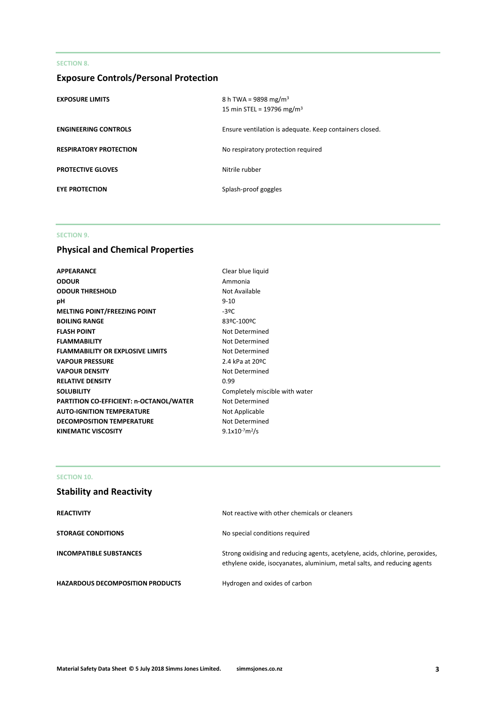### **SECTION 8.**

# **Exposure Controls/Personal Protection**

| <b>EXPOSURE LIMITS</b>        | 8 h TWA = 9898 mg/m <sup>3</sup><br>15 min STEL = 19796 mg/m <sup>3</sup> |
|-------------------------------|---------------------------------------------------------------------------|
| <b>ENGINEERING CONTROLS</b>   | Ensure ventilation is adequate. Keep containers closed.                   |
| <b>RESPIRATORY PROTECTION</b> | No respiratory protection required                                        |
| <b>PROTECTIVE GLOVES</b>      | Nitrile rubber                                                            |
| <b>EYE PROTECTION</b>         | Splash-proof goggles                                                      |

### **SECTION 9.**

# **Physical and Chemical Properties**

| <b>APPEARANCE</b>                       | Clear blue lic     |
|-----------------------------------------|--------------------|
| <b>ODOUR</b>                            | Ammonia            |
| <b>ODOUR THRESHOLD</b>                  | Not Available      |
| рH                                      | $9 - 10$           |
| <b>MELTING POINT/FREEZING POINT</b>     | $-39C$             |
| <b>BOILING RANGE</b>                    | 83ºC-100ºC         |
| <b>FLASH POINT</b>                      | Not Determi        |
| <b>FLAMMABILITY</b>                     | Not Determi        |
| <b>FLAMMABILITY OR EXPLOSIVE LIMITS</b> | Not Determi        |
| <b>VAPOUR PRESSURE</b>                  | 2.4 kPa at 20      |
| <b>VAPOUR DENSITY</b>                   | Not Determi        |
| <b>RELATIVE DENSITY</b>                 | 0.99               |
| <b>SOLUBILITY</b>                       | Completely r       |
| PARTITION CO-EFFICIENT: n-OCTANOL/WATER | Not Determi        |
| <b>AUTO-IGNITION TEMPERATURE</b>        | Not Applicab       |
| <b>DECOMPOSITION TEMPERATURE</b>        | Not Determi        |
| <b>KINEMATIC VISCOSITY</b>              | $9.1x10^{-7}m^2/s$ |
|                                         |                    |

Ammonia **Not Available BOILING RANGE** 83ºC-100ºC **Not Determined Not Determined Not Determined** 2.4 kPa at 20<sup>o</sup>C **Not Determined** Completely miscible with water **Not Determined Not Applicable Not Determined** 

**Clear blue liquid** 

# **SECTION 10.**

# **Stability and Reactivity**

| <b>REACTIVITY</b>                       | Not reactive with other chemicals or cleaners                                                                                                            |
|-----------------------------------------|----------------------------------------------------------------------------------------------------------------------------------------------------------|
| <b>STORAGE CONDITIONS</b>               | No special conditions required                                                                                                                           |
| <b>INCOMPATIBLE SUBSTANCES</b>          | Strong oxidising and reducing agents, acetylene, acids, chlorine, peroxides,<br>ethylene oxide, isocyanates, aluminium, metal salts, and reducing agents |
| <b>HAZARDOUS DECOMPOSITION PRODUCTS</b> | Hydrogen and oxides of carbon                                                                                                                            |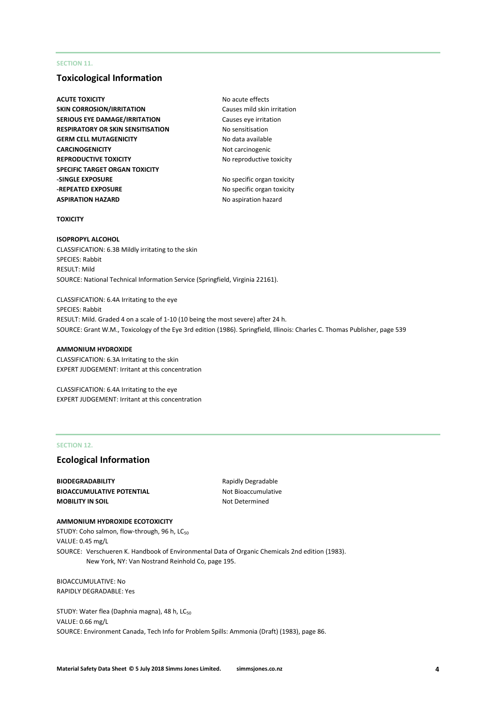### **SECTION 11.**

### **Toxicological Information**

- **ACUTE TOXICITY** ACUTE **No acute effects SKIN CORROSION/IRRITATION** Causes mild skin irritation **SERIOUS EYE DAMAGE/IRRITATION** Causes eye irritation **RESPIRATORY OR SKIN SENSITISATION No sensitisation GERM CELL MUTAGENICITY** No data available **CARCINOGENICITY** Not carcinogenic **REPRODUCTIVE TOXICITY** No reproductive toxicity **SPECIFIC TARGET ORGAN TOXICITY -SINGLE EXPOSURE** No specific organ toxicity **-REPEATED EXPOSURE** No specific organ toxicity **ASPIRATION HAZARD** No aspiration hazard
	-

### **TOXICITY**

### **ISOPROPYL ALCOHOL** CLASSIFICATION: 6.3B Mildly irritating to the skin SPECIES: Rabbit RESULT: Mild SOURCE: National Technical Information Service (Springfield, Virginia 22161).

CLASSIFICATION: 6.4A Irritating to the eye SPECIES: Rabbit RESULT: Mild. Graded 4 on a scale of 1-10 (10 being the most severe) after 24 h. SOURCE: Grant W.M., Toxicology of the Eye 3rd edition (1986). Springfield, Illinois: Charles C. Thomas Publisher, page 539

### **AMMONIUM HYDROXIDE**

CLASSIFICATION: 6.3A Irritating to the skin EXPERT JUDGEMENT: Irritant at this concentration

CLASSIFICATION: 6.4A Irritating to the eye EXPERT JUDGEMENT: Irritant at this concentration

### **SECTION 12.**

# **Ecological Information**

**BIODEGRADABILITY** Rapidly Degradable **BIOACCUMULATIVE POTENTIAL** Not Bioaccumulative **MOBILITY IN SOIL** MOBILITY IN SOIL

### **AMMONIUM HYDROXIDE ECOTOXICITY**

STUDY: Coho salmon, flow-through, 96 h, LC<sub>50</sub> VALUE: 0.45 mg/L SOURCE: Verschueren K. Handbook of Environmental Data of Organic Chemicals 2nd edition (1983). New York, NY: Van Nostrand Reinhold Co, page 195.

BIOACCUMULATIVE: No RAPIDLY DEGRADABLE: Yes

STUDY: Water flea (Daphnia magna), 48 h, LC<sub>50</sub> VALUE: 0.66 mg/L SOURCE: Environment Canada, Tech Info for Problem Spills: Ammonia (Draft) (1983), page 86.